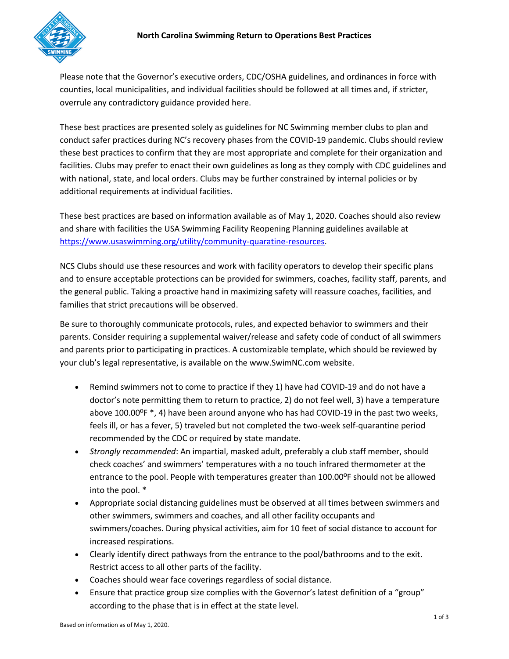

Please note that the Governor's executive orders, CDC/OSHA guidelines, and ordinances in force with counties, local municipalities, and individual facilities should be followed at all times and, if stricter, overrule any contradictory guidance provided here.

These best practices are presented solely as guidelines for NC Swimming member clubs to plan and conduct safer practices during NC's recovery phases from the COVID-19 pandemic. Clubs should review these best practices to confirm that they are most appropriate and complete for their organization and facilities. Clubs may prefer to enact their own guidelines as long as they comply with CDC guidelines and with national, state, and local orders. Clubs may be further constrained by internal policies or by additional requirements at individual facilities.

These best practices are based on information available as of May 1, 2020. Coaches should also review and share with facilities the USA Swimming Facility Reopening Planning guidelines available at [https://www.usaswimming.org/utility/community-quaratine-resources.](https://www.usaswimming.org/utility/community-quaratine-resources)

NCS Clubs should use these resources and work with facility operators to develop their specific plans and to ensure acceptable protections can be provided for swimmers, coaches, facility staff, parents, and the general public. Taking a proactive hand in maximizing safety will reassure coaches, facilities, and families that strict precautions will be observed.

Be sure to thoroughly communicate protocols, rules, and expected behavior to swimmers and their parents. Consider requiring a supplemental waiver/release and safety code of conduct of all swimmers and parents prior to participating in practices. A customizable template, which should be reviewed by your club's legal representative, is available on the www.SwimNC.com website.

- Remind swimmers not to come to practice if they 1) have had COVID-19 and do not have a doctor's note permitting them to return to practice, 2) do not feel well, 3) have a temperature above 100.00 $P$  \*, 4) have been around anyone who has had COVID-19 in the past two weeks, feels ill, or has a fever, 5) traveled but not completed the two-week self-quarantine period recommended by the CDC or required by state mandate.
- *Strongly recommended*: An impartial, masked adult, preferably a club staff member, should check coaches' and swimmers' temperatures with a no touch infrared thermometer at the entrance to the pool. People with temperatures greater than 100.00ºF should not be allowed into the pool. \*
- Appropriate social distancing guidelines must be observed at all times between swimmers and other swimmers, swimmers and coaches, and all other facility occupants and swimmers/coaches. During physical activities, aim for 10 feet of social distance to account for increased respirations.
- Clearly identify direct pathways from the entrance to the pool/bathrooms and to the exit. Restrict access to all other parts of the facility.
- Coaches should wear face coverings regardless of social distance.
- Ensure that practice group size complies with the Governor's latest definition of a "group" according to the phase that is in effect at the state level.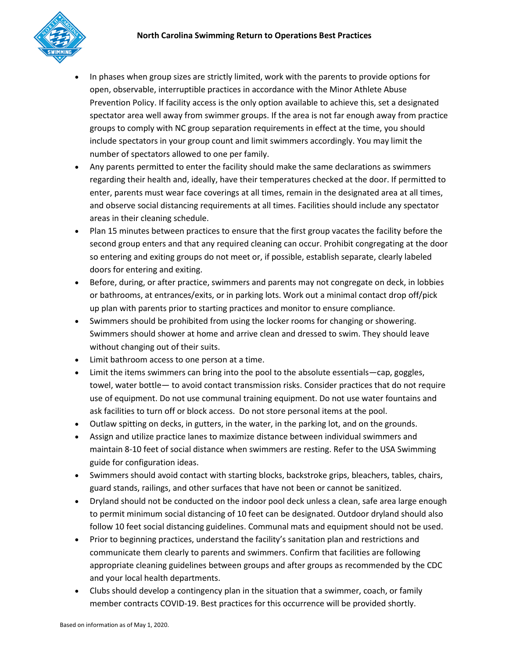

- In phases when group sizes are strictly limited, work with the parents to provide options for open, observable, interruptible practices in accordance with the Minor Athlete Abuse Prevention Policy. If facility access is the only option available to achieve this, set a designated spectator area well away from swimmer groups. If the area is not far enough away from practice groups to comply with NC group separation requirements in effect at the time, you should include spectators in your group count and limit swimmers accordingly. You may limit the number of spectators allowed to one per family.
- Any parents permitted to enter the facility should make the same declarations as swimmers regarding their health and, ideally, have their temperatures checked at the door. If permitted to enter, parents must wear face coverings at all times, remain in the designated area at all times, and observe social distancing requirements at all times. Facilities should include any spectator areas in their cleaning schedule.
- Plan 15 minutes between practices to ensure that the first group vacates the facility before the second group enters and that any required cleaning can occur. Prohibit congregating at the door so entering and exiting groups do not meet or, if possible, establish separate, clearly labeled doors for entering and exiting.
- Before, during, or after practice, swimmers and parents may not congregate on deck, in lobbies or bathrooms, at entrances/exits, or in parking lots. Work out a minimal contact drop off/pick up plan with parents prior to starting practices and monitor to ensure compliance.
- Swimmers should be prohibited from using the locker rooms for changing or showering. Swimmers should shower at home and arrive clean and dressed to swim. They should leave without changing out of their suits.
- Limit bathroom access to one person at a time.
- Limit the items swimmers can bring into the pool to the absolute essentials—cap, goggles, towel, water bottle— to avoid contact transmission risks. Consider practices that do not require use of equipment. Do not use communal training equipment. Do not use water fountains and ask facilities to turn off or block access. Do not store personal items at the pool.
- Outlaw spitting on decks, in gutters, in the water, in the parking lot, and on the grounds.
- Assign and utilize practice lanes to maximize distance between individual swimmers and maintain 8-10 feet of social distance when swimmers are resting. Refer to the USA Swimming guide for configuration ideas.
- Swimmers should avoid contact with starting blocks, backstroke grips, bleachers, tables, chairs, guard stands, railings, and other surfaces that have not been or cannot be sanitized.
- Dryland should not be conducted on the indoor pool deck unless a clean, safe area large enough to permit minimum social distancing of 10 feet can be designated. Outdoor dryland should also follow 10 feet social distancing guidelines. Communal mats and equipment should not be used.
- Prior to beginning practices, understand the facility's sanitation plan and restrictions and communicate them clearly to parents and swimmers. Confirm that facilities are following appropriate cleaning guidelines between groups and after groups as recommended by the CDC and your local health departments.
- Clubs should develop a contingency plan in the situation that a swimmer, coach, or family member contracts COVID-19. Best practices for this occurrence will be provided shortly.